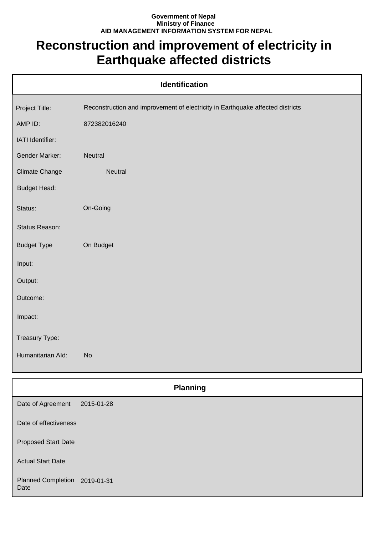## **Government of Nepal Ministry of Finance AID MANAGEMENT INFORMATION SYSTEM FOR NEPAL**

## **Reconstruction and improvement of electricity in Earthquake affected districts**

| <b>Identification</b> |                                                                                |  |
|-----------------------|--------------------------------------------------------------------------------|--|
| Project Title:        | Reconstruction and improvement of electricity in Earthquake affected districts |  |
| AMP ID:               | 872382016240                                                                   |  |
| IATI Identifier:      |                                                                                |  |
| Gender Marker:        | Neutral                                                                        |  |
| <b>Climate Change</b> | Neutral                                                                        |  |
| <b>Budget Head:</b>   |                                                                                |  |
| Status:               | On-Going                                                                       |  |
| Status Reason:        |                                                                                |  |
| <b>Budget Type</b>    | On Budget                                                                      |  |
| Input:                |                                                                                |  |
| Output:               |                                                                                |  |
| Outcome:              |                                                                                |  |
| Impact:               |                                                                                |  |
| Treasury Type:        |                                                                                |  |
| Humanitarian Ald:     | <b>No</b>                                                                      |  |
|                       | <b>Planning</b>                                                                |  |
| Date of Agreement     | $2015 - 01 - 28$                                                               |  |

| Date of Agreement                 | 2015-01-28 |
|-----------------------------------|------------|
| Date of effectiveness             |            |
| <b>Proposed Start Date</b>        |            |
| <b>Actual Start Date</b>          |            |
| <b>Planned Completion</b><br>Date | 2019-01-31 |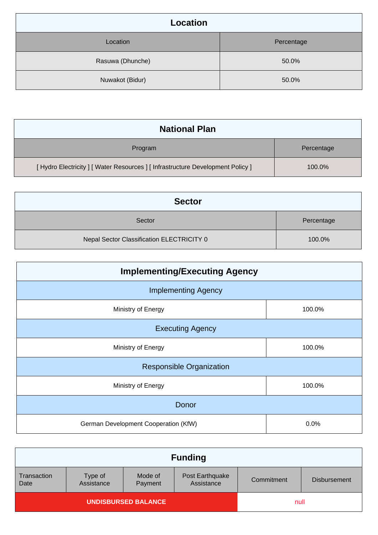| <b>Location</b>  |            |
|------------------|------------|
| Location         | Percentage |
| Rasuwa (Dhunche) | 50.0%      |
| Nuwakot (Bidur)  | 50.0%      |

| <b>National Plan</b>                                                            |            |
|---------------------------------------------------------------------------------|------------|
| Program                                                                         | Percentage |
| [ Hydro Electricity ] [ Water Resources ] [ Infrastructure Development Policy ] | 100.0%     |

| <b>Sector</b>                             |            |
|-------------------------------------------|------------|
| Sector                                    | Percentage |
| Nepal Sector Classification ELECTRICITY 0 | 100.0%     |

| <b>Implementing/Executing Agency</b> |        |  |
|--------------------------------------|--------|--|
| <b>Implementing Agency</b>           |        |  |
| Ministry of Energy                   | 100.0% |  |
| <b>Executing Agency</b>              |        |  |
| Ministry of Energy                   | 100.0% |  |
| <b>Responsible Organization</b>      |        |  |
| Ministry of Energy                   | 100.0% |  |
| Donor                                |        |  |
| German Development Cooperation (KfW) | 0.0%   |  |

|                            |                       |                    | <b>Funding</b>                |            |                     |
|----------------------------|-----------------------|--------------------|-------------------------------|------------|---------------------|
| Transaction<br>Date        | Type of<br>Assistance | Mode of<br>Payment | Post Earthquake<br>Assistance | Commitment | <b>Disbursement</b> |
| <b>UNDISBURSED BALANCE</b> |                       |                    | null                          |            |                     |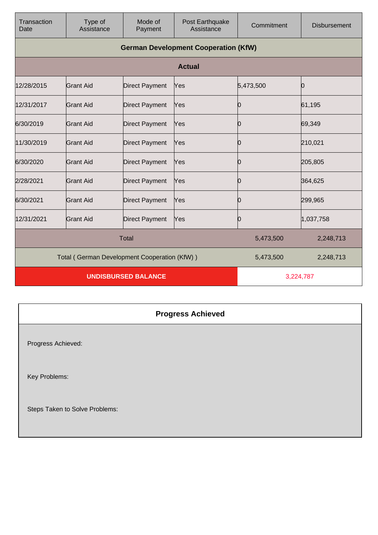| Transaction<br>Date                          | Type of<br>Assistance                       | Mode of<br>Payment    | Post Earthquake<br>Assistance | Commitment | <b>Disbursement</b> |
|----------------------------------------------|---------------------------------------------|-----------------------|-------------------------------|------------|---------------------|
|                                              | <b>German Development Cooperation (KfW)</b> |                       |                               |            |                     |
|                                              |                                             |                       | <b>Actual</b>                 |            |                     |
| 12/28/2015                                   | <b>Grant Aid</b>                            | <b>Direct Payment</b> | Yes                           | 5,473,500  | Ю                   |
| 12/31/2017                                   | Grant Aid                                   | <b>Direct Payment</b> | Yes                           | Ю          | 61,195              |
| 6/30/2019                                    | <b>Grant Aid</b>                            | <b>Direct Payment</b> | Yes                           | 0          | 69,349              |
| 11/30/2019                                   | <b>Grant Aid</b>                            | <b>Direct Payment</b> | Yes                           | 0          | 210,021             |
| 6/30/2020                                    | Grant Aid                                   | <b>Direct Payment</b> | Yes                           | Ю          | 205,805             |
| 2/28/2021                                    | <b>Grant Aid</b>                            | <b>Direct Payment</b> | Yes                           | 0          | 364,625             |
| 6/30/2021                                    | Grant Aid                                   | <b>Direct Payment</b> | Yes                           | 0          | 299,965             |
| 12/31/2021                                   | <b>Grant Aid</b>                            | <b>Direct Payment</b> | Yes                           | 0          | 1,037,758           |
| <b>Total</b>                                 |                                             |                       | 5,473,500                     | 2,248,713  |                     |
| Total (German Development Cooperation (KfW)) |                                             |                       | 5,473,500                     | 2,248,713  |                     |
| <b>UNDISBURSED BALANCE</b>                   |                                             |                       | 3,224,787                     |            |                     |

## **Progress Achieved**

Progress Achieved:

Key Problems:

Steps Taken to Solve Problems: